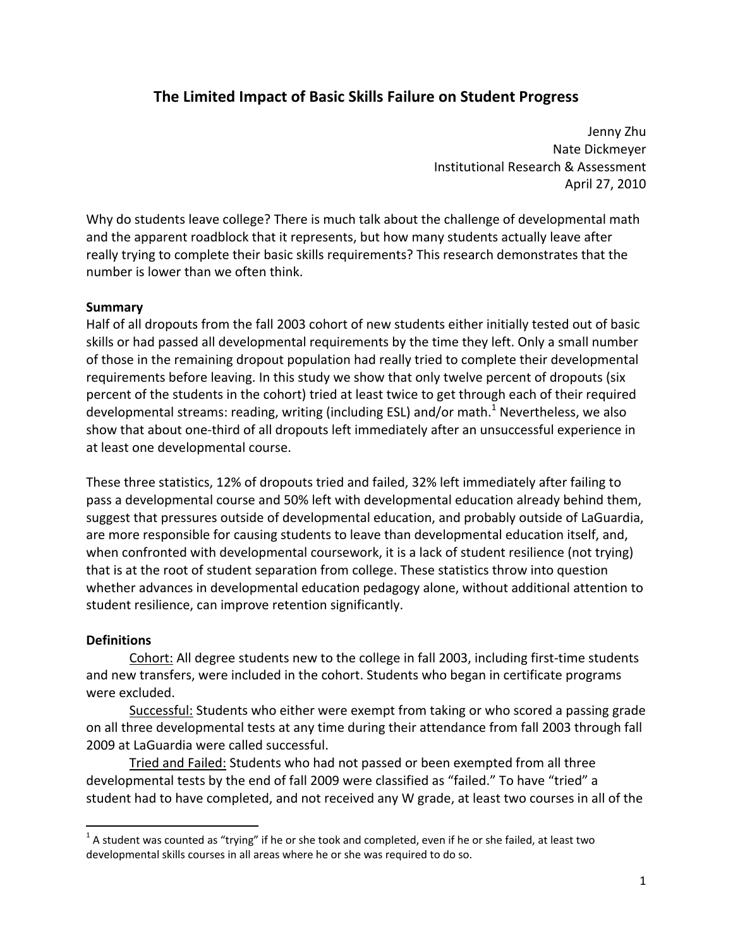# **The Limited Impact of Basic Skills Failure on Student Progress**

 Jenny Zhu Nate Dickmeyer Institutional Research & Assessment April 27, 2010

 Why do students leave college? There is much talk about the challenge of developmental math and the apparent roadblock that it represents, but how many students actually leave after really trying to complete their basic skills requirements? This research demonstrates that the number is lower than we often think.

#### **Summary**

 Half of all dropouts from the fall 2003 cohort of new students either initially tested out of basic skills or had passed all developmental requirements by the time they left. Only a small number of those in the remaining dropout population had really tried to complete their developmental requirements before leaving. In this study we show that only twelve percent of dropouts (six percent of the students in the cohort) tried at least twice to get through each of their required developmental streams: reading, writing (including ESL) and/or math.<sup>1</sup> Nevertheless, we also show that about one‐third of all dropouts left immediately after an unsuccessful experience in at least one developmental course.

 These three statistics, 12% of dropouts tried and failed, 32% left immediately after failing to pass a developmental course and 50% left with developmental education already behind them, suggest that pressures outside of developmental education, and probably outside of LaGuardia, are more responsible for causing students to leave than developmental education itself, and, when confronted with developmental coursework, it is a lack of student resilience (not trying) that is at the root of student separation from college. These statistics throw into question whether advances in developmental education pedagogy alone, without additional attention to student resilience, can improve retention significantly.

#### **Definitions**

Cohort: All degree students new to the college in fall 2003, including first-time students and new transfers, were included in the cohort. Students who began in certificate programs were excluded.

Successful: Students who either were exempt from taking or who scored a passing grade on all three developmental tests at any time during their attendance from fall 2003 through fall 2009 at LaGuardia were called successful.

 Tried and Failed: Students who had not passed or been exempted from all three developmental tests by the end of fall 2009 were classified as "failed." To have "tried" a student had to have completed, and not received any W grade, at least two courses in all of the

 $^1$  A student was counted as "trying" if he or she took and completed, even if he or she failed, at least two developmental skills courses in all areas where he or she was required to do so.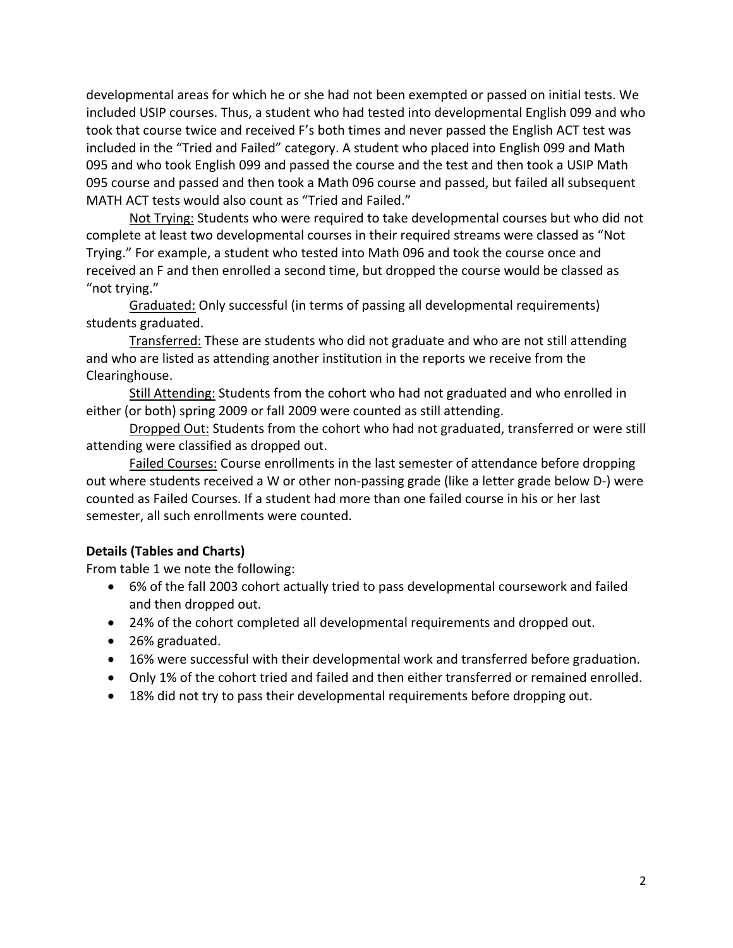developmental areas for which he or she had not been exempted or passed on initial tests. We included USIP courses. Thus, a student who had tested into developmental English 099 and who took that course twice and received F's both times and never passed the English ACT test was included in the "Tried and Failed" category. A student who placed into English 099 and Math 095 and who took English 099 and passed the course and the test and then took a USIP Math 095 course and passed and then took a Math 096 course and passed, but failed all subsequent MATH ACT tests would also count as "Tried and Failed."

Not Trying: Students who were required to take developmental courses but who did not complete at least two developmental courses in their required streams were classed as "Not Trying." For example, a student who tested into Math 096 and took the course once and received an F and then enrolled a second time, but dropped the course would be classed as "not trying."

 Graduated: Only successful (in terms of passing all developmental requirements) students graduated.

 Transferred: These are students who did not graduate and who are not still attending and who are listed as attending another institution in the reports we receive from the Clearinghouse.

Still Attending: Students from the cohort who had not graduated and who enrolled in either (or both) spring 2009 or fall 2009 were counted as still attending.

Dropped Out: Students from the cohort who had not graduated, transferred or were still attending were classified as dropped out.

Failed Courses: Course enrollments in the last semester of attendance before dropping out where students received a W or other non‐passing grade (like a letter grade below D‐) were counted as Failed Courses. If a student had more than one failed course in his or her last semester, all such enrollments were counted.

# **Details (Tables and Charts)**

From table 1 we note the following:

- 6% of the fall 2003 cohort actually tried to pass developmental coursework and failed and then dropped out.
- 24% of the cohort completed all developmental requirements and dropped out.
- 26% graduated.
- 16% were successful with their developmental work and transferred before graduation.
- Only 1% of the cohort tried and failed and then either transferred or remained enrolled.
- 18% did not try to pass their developmental requirements before dropping out.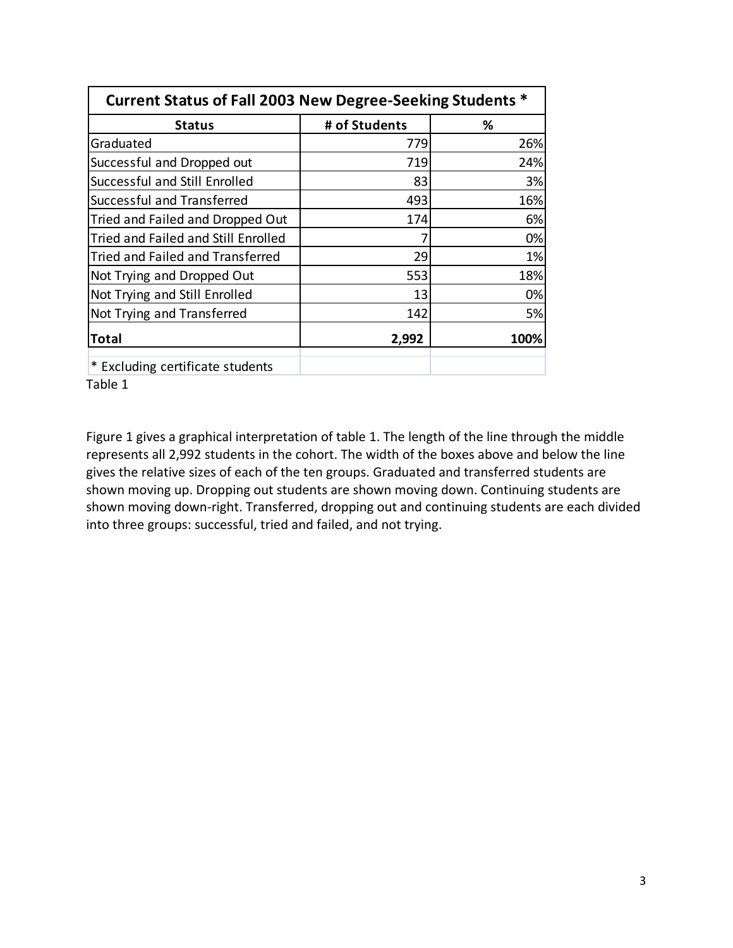| Current Status of Fall 2003 New Degree-Seeking Students * |               |      |  |
|-----------------------------------------------------------|---------------|------|--|
| <b>Status</b>                                             | # of Students | %    |  |
| Graduated                                                 | 779           | 26%  |  |
| Successful and Dropped out                                | 719           | 24%  |  |
| Successful and Still Enrolled                             | 83            | 3%   |  |
| Successful and Transferred                                | 493           | 16%  |  |
| Tried and Failed and Dropped Out                          | 174           | 6%   |  |
| Tried and Failed and Still Enrolled                       |               | 0%   |  |
| Tried and Failed and Transferred                          | 29            | 1%   |  |
| Not Trying and Dropped Out                                | 553           | 18%  |  |
| Not Trying and Still Enrolled                             | 13            | 0%   |  |
| Not Trying and Transferred                                | 142           | 5%   |  |
| <b>Total</b>                                              | 2,992         | 100% |  |
| * Excluding certificate students                          |               |      |  |
| Table 1                                                   |               |      |  |

 Figure 1 gives a graphical interpretation of table 1. The length of the line through the middle represents all 2,992 students in the cohort. The width of the boxes above and below the line gives the relative sizes of each of the ten groups. Graduated and transferred students are shown moving up. Dropping out students are shown moving down. Continuing students are shown moving down‐right. Transferred, dropping out and continuing students are each divided into three groups: successful, tried and failed, and not trying.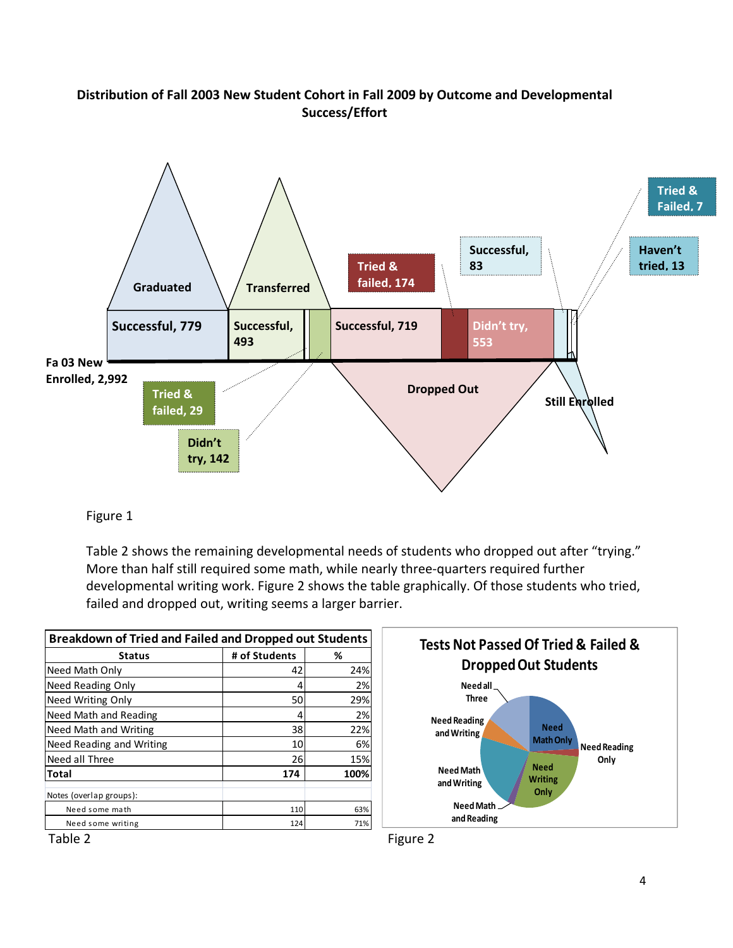## **Distribution of Fall 2003 New Student Cohort in Fall 2009 by Outcome and Developmental Success/Effort**



### Figure 1

 Table 2 shows the remaining developmental needs of students who dropped out after "trying." More than half still required some math, while nearly three‐quarters required further developmental writing work. Figure 2 shows the table graphically. Of those students who tried, failed and dropped out, writing seems a larger barrier.

| <b>Breakdown of Tried and Failed and Dropped out Students</b> |               |      |  |
|---------------------------------------------------------------|---------------|------|--|
| <b>Status</b>                                                 | # of Students | %    |  |
| Need Math Only                                                | 42            | 24%  |  |
| Need Reading Only                                             | 4             | 2%   |  |
| Need Writing Only                                             | 50            | 29%  |  |
| Need Math and Reading                                         | 4             | 2%   |  |
| Need Math and Writing                                         | 38            | 22%  |  |
| Need Reading and Writing                                      | 10            | 6%   |  |
| Need all Three                                                | 26            | 15%  |  |
| Total                                                         | 174           | 100% |  |
| Notes (overlap groups):                                       |               |      |  |
| Need some math                                                | 110           | 63%  |  |
| Need some writing                                             | 124           | 71%  |  |



Table 2 and 2 Figure 2 and 2 Figure 2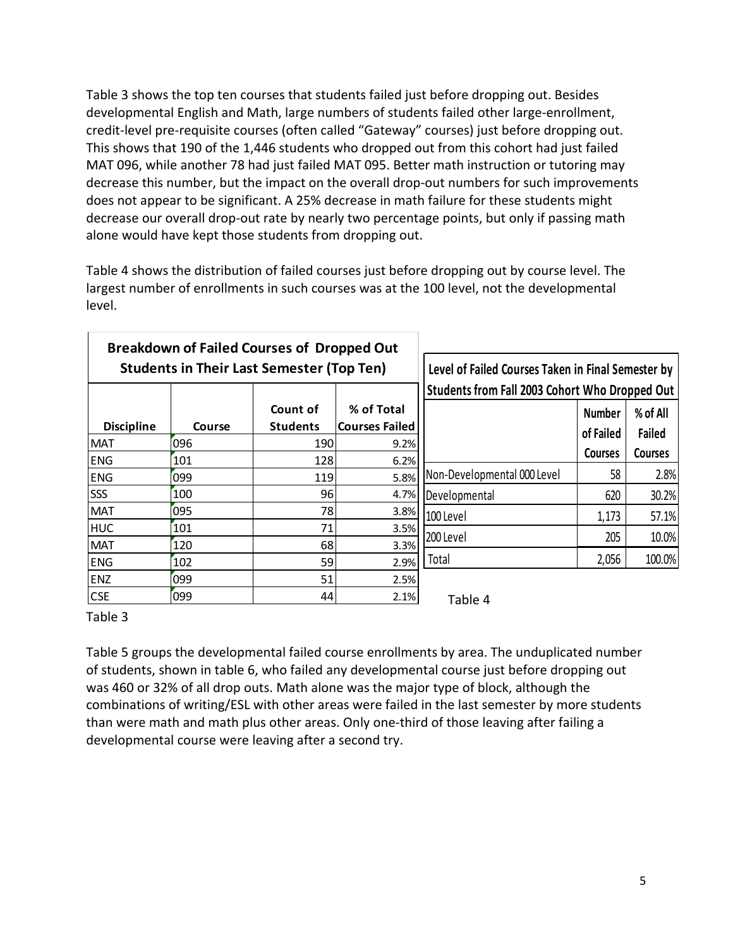Table 3 shows the top ten courses that students failed just before dropping out. Besides developmental English and Math, large numbers of students failed other large‐enrollment, credit‐level pre‐requisite courses (often called "Gateway" courses) just before dropping out. This shows that 190 of the 1,446 students who dropped out from this cohort had just failed MAT 096, while another 78 had just failed MAT 095. Better math instruction or tutoring may decrease this number, but the impact on the overall drop‐out numbers for such improvements does not appear to be significant. A 25% decrease in math failure for these students might decrease our overall drop-out rate by nearly two percentage points, but only if passing math alone would have kept those students from dropping out.

 Table 4 shows the distribution of failed courses just before dropping out by course level. The largest number of enrollments in such courses was at the 100 level, not the developmental level.

|                   |        | <b>Breakdown of Failed Courses of Dropped Out</b><br><b>Students in Their Last Semester (Top Ten)</b> |                       | Level of Failed Courses Taken in Final Semester by |                |                |
|-------------------|--------|-------------------------------------------------------------------------------------------------------|-----------------------|----------------------------------------------------|----------------|----------------|
|                   |        |                                                                                                       |                       | Students from Fall 2003 Cohort Who Dropped Out     |                |                |
|                   |        | Count of                                                                                              | % of Total            |                                                    | <b>Number</b>  | % of All       |
| <b>Discipline</b> | Course | <b>Students</b>                                                                                       | <b>Courses Failed</b> |                                                    | of Failed      | Failed         |
| <b>MAT</b>        | 096    | 190                                                                                                   | 9.2%                  |                                                    | <b>Courses</b> | <b>Courses</b> |
| <b>ENG</b>        | 101    | 128                                                                                                   | 6.2%                  |                                                    |                |                |
| <b>ENG</b>        | 099    | 119                                                                                                   | 5.8%                  | Non-Developmental 000 Level                        | 58             | 2.8%           |
| SSS               | 100    | 96                                                                                                    | 4.7%                  | Developmental                                      | 620            | 30.2%          |
| <b>MAT</b>        | 095    | 78                                                                                                    | 3.8%                  | 100 Level                                          | 1,173          | 57.1%          |
| <b>HUC</b>        | 101    | 71                                                                                                    | 3.5%                  |                                                    |                |                |
| <b>MAT</b>        | 120    | 68                                                                                                    | 3.3%                  | 200 Level                                          | 205            | 10.0%          |
| <b>ENG</b>        | 102    | 59                                                                                                    | 2.9%                  | Total                                              | 2,056          | 100.0%         |
| ENZ               | 099    | 51                                                                                                    | 2.5%                  |                                                    |                |                |
| <b>CSE</b>        | 099    | 44                                                                                                    | 2.1%                  | Table 4                                            |                |                |

Table 3

 Table 5 groups the developmental failed course enrollments by area. The unduplicated number of students, shown in table 6, who failed any developmental course just before dropping out was 460 or 32% of all drop outs. Math alone was the major type of block, although the combinations of writing/ESL with other areas were failed in the last semester by more students than were math and math plus other areas. Only one‐third of those leaving after failing a developmental course were leaving after a second try.